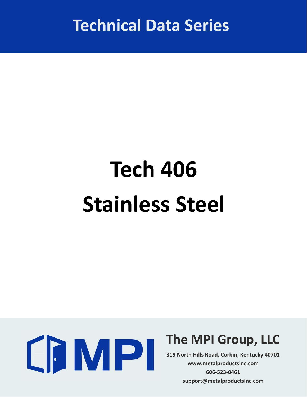**Technical Data Series**

## **Tech 406 Stainless Steel**



## **The MPI Group, LLC**

**319 North Hills Road, Corbin, Kentucky 40701 www.metalproductsinc.com 606‐523‐0461 support@metalproductsinc.com**